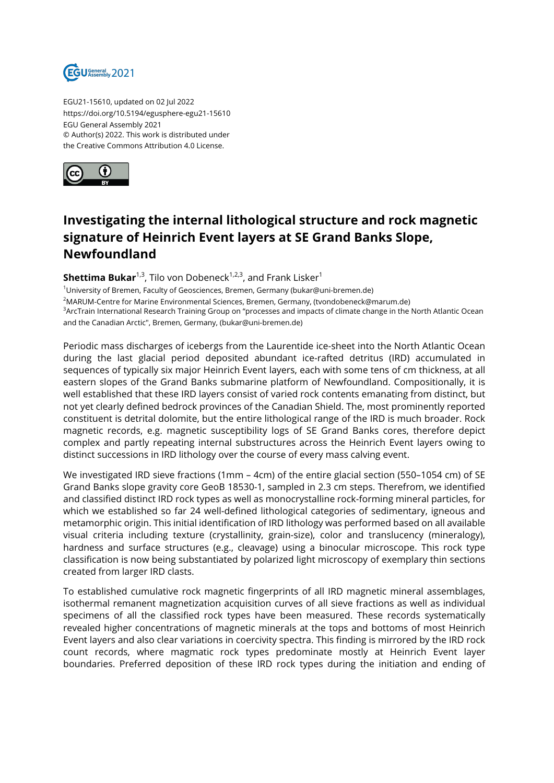

EGU21-15610, updated on 02 Jul 2022 https://doi.org/10.5194/egusphere-egu21-15610 EGU General Assembly 2021 © Author(s) 2022. This work is distributed under the Creative Commons Attribution 4.0 License.



## **Investigating the internal lithological structure and rock magnetic signature of Heinrich Event layers at SE Grand Banks Slope, Newfoundland**

## **Shettima Bukar**<sup>1,3</sup>, Tilo von Dobeneck<sup>1,2,3</sup>, and Frank Lisker<sup>1</sup>

<sup>1</sup>University of Bremen, Faculty of Geosciences, Bremen, Germany (bukar@uni-bremen.de) <sup>2</sup>MARUM-Centre for Marine Environmental Sciences, Bremen, Germany, (tvondobeneck@marum.de) <sup>3</sup> ArcTrain International Research Training Group on "processes and impacts of climate change in the North Atlantic Ocean and the Canadian Arctic", Bremen, Germany, (bukar@uni-bremen.de)

Periodic mass discharges of icebergs from the Laurentide ice-sheet into the North Atlantic Ocean during the last glacial period deposited abundant ice-rafted detritus (IRD) accumulated in sequences of typically six major Heinrich Event layers, each with some tens of cm thickness, at all eastern slopes of the Grand Banks submarine platform of Newfoundland. Compositionally, it is well established that these IRD layers consist of varied rock contents emanating from distinct, but not yet clearly defined bedrock provinces of the Canadian Shield. The, most prominently reported constituent is detrital dolomite, but the entire lithological range of the IRD is much broader. Rock magnetic records, e.g. magnetic susceptibility logs of SE Grand Banks cores, therefore depict complex and partly repeating internal substructures across the Heinrich Event layers owing to distinct successions in IRD lithology over the course of every mass calving event.

We investigated IRD sieve fractions (1mm – 4cm) of the entire glacial section (550–1054 cm) of SE Grand Banks slope gravity core GeoB 18530-1, sampled in 2.3 cm steps. Therefrom, we identified and classified distinct IRD rock types as well as monocrystalline rock-forming mineral particles, for which we established so far 24 well-defined lithological categories of sedimentary, igneous and metamorphic origin. This initial identification of IRD lithology was performed based on all available visual criteria including texture (crystallinity, grain-size), color and translucency (mineralogy), hardness and surface structures (e.g., cleavage) using a binocular microscope. This rock type classification is now being substantiated by polarized light microscopy of exemplary thin sections created from larger IRD clasts.

To established cumulative rock magnetic fingerprints of all IRD magnetic mineral assemblages, isothermal remanent magnetization acquisition curves of all sieve fractions as well as individual specimens of all the classified rock types have been measured. These records systematically revealed higher concentrations of magnetic minerals at the tops and bottoms of most Heinrich Event layers and also clear variations in coercivity spectra. This finding is mirrored by the IRD rock count records, where magmatic rock types predominate mostly at Heinrich Event layer boundaries. Preferred deposition of these IRD rock types during the initiation and ending of